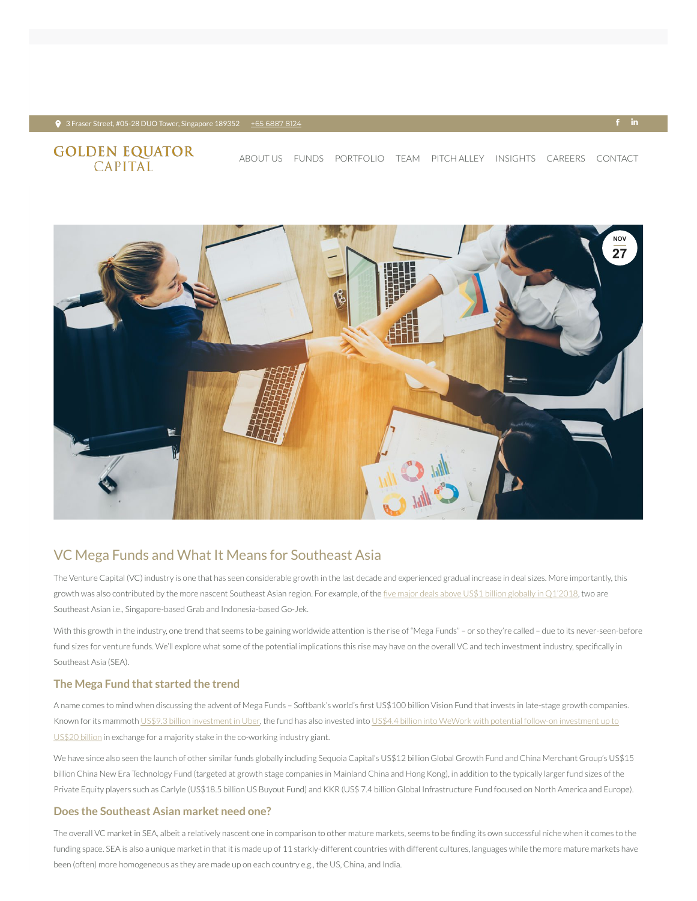#### $\bullet$  3 Fraser Street, #05-28 DUO Tower, Singapore 189352 + <u>+65 [6887](tel:+65 6887 8124) 8124</u> +  $\bullet$  +  $\bullet$  +  $\bullet$  +  $\bullet$  +  $\bullet$  +  $\bullet$  +  $\bullet$  +  $\bullet$  +  $\bullet$  +  $\bullet$  +  $\bullet$  +  $\bullet$  +  $\bullet$  +  $\bullet$  +  $\bullet$  +  $\bullet$  +  $\bullet$  +  $\bullet$  +  $\bullet$  +  $\bullet$  +  $\bullet$

# **GOLDEN EQUATOR**<br>CAPITAL

## VC Mega Funds and What It Means for Southeast Asia

The Venture Capital (VC) industry is one that has seen considerable growth in the last decade and experienced gradual increase in deal sizes. More importantly, this growth was also contributed by the more nascent Southeast Asian region. For example, of the five major deals above US\$1 billion globally in [Q1'2018,](https://assets.kpmg.com/content/dam/kpmg/xx/pdf/2018/04/kpmg-venture-pulse-q1-2018.pdf) two are Southeast Asian i.e., Singapore-based Grab and Indonesia-based Go-Jek.

With this growth in the industry, one trend that seems to be gaining worldwide attention is the rise of "Mega Funds" - or so they're called - due to its never-seen-before fund sizes for venture funds. We'll explore what some of the potential implications this rise may have on the overall VC and tech investment industry, specifically in Southeast Asia (SEA).

### **The Mega Fund that started the trend**

A name comes to mind when discussing the advent of Mega Funds - Softbank's world's first US\$100 billion Vision Fund that invests in late-stage growth companies. Known for its mammoth US\$9.3 billion [investment](https://www.recode.net/2018/2/5/16974032/this-is-where-chart-softbank-vision-fund-masayoshi-son-venture-capital) in Uber, the fund has also invested into US\$4.4 billion into WeWork with potential follow-on investment up to US\$20 billion in exchange for a majority stake in the [co-working](https://techcrunch.com/2018/10/09/softbank-is-considering-taking-a-majority-stake-in-wework/) industry giant.

We have since also seen the launch of other similar funds globally including Sequoia Capital's US\$12 billion Global Growth Fund and China Merchant Group's US\$15 billion China New Era Technology Fund (targeted at growth stage companies in Mainland China and Hong Kong), in addition to the typically larger fund sizes of the Private Equity players such as Carlyle (US\$18.5 billion US Buyout Fund) and KKR (US\$ 7.4 billion Global Infrastructure Fund focused on North America and Europe).

The overall VC market in SEA, albeit a relatively nascent one in comparison to other mature markets, seems to be finding its own successful niche when it comes to the funding space. SEA is also a unique market in that it is made up of 11 starkly-different countries with different cultures, languages while the more mature markets have been (often) more homogeneous as they are made up on each country e.g., the US, China, and India.

#### **Does the Southeast Asian market need one?**



[ABOUT](https://www.goldenequatorcapital.com/) US [FUNDS](https://www.goldenequatorcapital.com/funds/) [PORTFOLIO](https://www.goldenequatorcapital.com/portfolio-2/) [TEAM](https://www.goldenequatorcapital.com/team/) [PITCH](https://www.goldenequatorcapital.com/pitch-alley/) ALLEY INSIGHTS [CAREERS](https://www.goldenequatorcapital.com/careers/) [CONTACT](https://www.goldenequatorcapital.com/contact/)